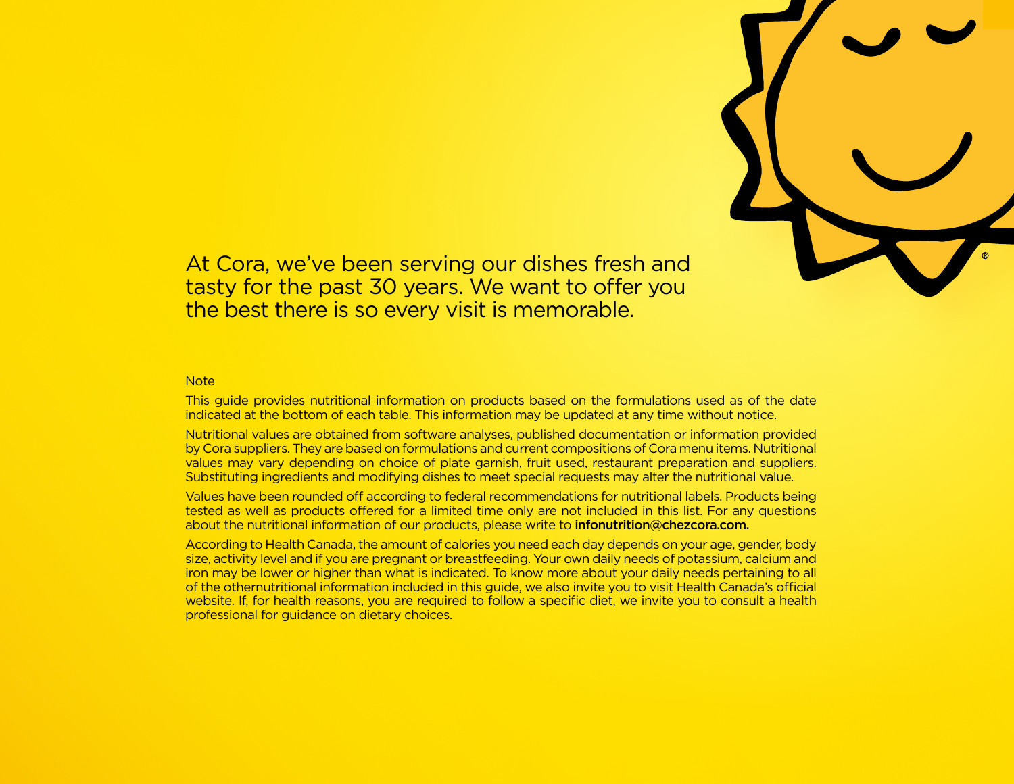

At Cora, we've been serving our dishes fresh and tasty for the past 30 years. We want to offer you the best there is so every visit is memorable.

## **Note**

This guide provides nutritional information on products based on the formulations used as of the date indicated at the bottom of each table. This information may be updated at any time without notice.

Nutritional values are obtained from software analyses, published documentation or information provided by Cora suppliers. They are based on formulations and current compositions of Cora menu items. Nutritional values may vary depending on choice of plate garnish, fruit used, restaurant preparation and suppliers. Substituting ingredients and modifying dishes to meet special requests may alter the nutritional value.

Values have been rounded off according to federal recommendations for nutritional labels. Products being tested as well as products offered for a limited time only are not included in this list. For any questions about the nutritional information of our products, please write to infonutrition@chezcora.com.

According to Health Canada, the amount of calories you need each day depends on your age, gender, body size, activity level and if you are pregnant or breastfeeding. Your own daily needs of potassium, calcium and iron may be lower or higher than what is indicated. To know more about your daily needs pertaining to all of the othernutritional information included in this guide, we also invite you to visit Health Canada's official website. If, for health reasons, you are required to follow a specific diet, we invite you to consult a health professional for guidance on dietary choices.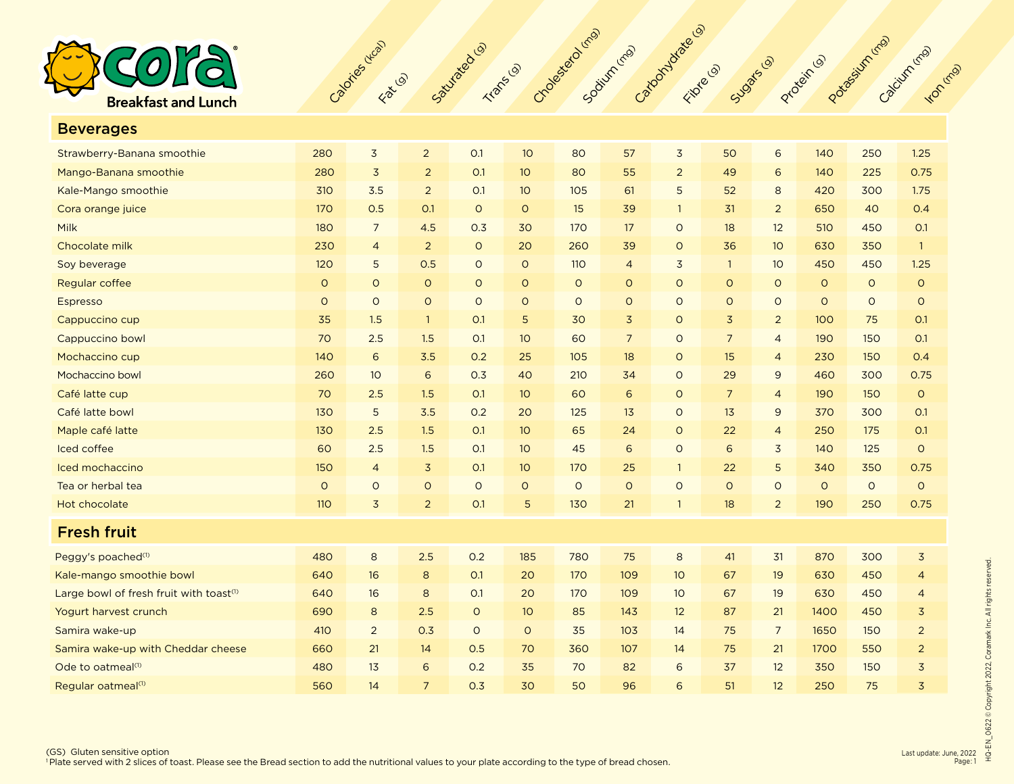

| <b>Beverages</b>                                    |            |                |                |             |         |         |                |                |                |                 |         |         |                |
|-----------------------------------------------------|------------|----------------|----------------|-------------|---------|---------|----------------|----------------|----------------|-----------------|---------|---------|----------------|
| Strawberry-Banana smoothie                          | 280        | $\overline{3}$ | $\overline{2}$ | O.1         | 10      | 80      | 57             | 3              | 50             | 6               | 140     | 250     | 1.25           |
| Mango-Banana smoothie                               | 280        | $\overline{3}$ | $\overline{2}$ | O.1         | 10      | 80      | 55             | $\overline{2}$ | 49             | 6               | 140     | 225     | 0.75           |
| Kale-Mango smoothie                                 | 310        | 3.5            | $\overline{2}$ | O.1         | 10      | 105     | 61             | 5              | 52             | 8               | 420     | 300     | 1.75           |
| Cora orange juice                                   | 170        | 0.5            | O.1            | $\circ$     | $\circ$ | 15      | 39             | $\mathbf{1}$   | 31             | $\overline{2}$  | 650     | 40      | 0.4            |
| Milk                                                | 180        | $\overline{7}$ | 4.5            | 0.3         | 30      | 170     | 17             | $\circ$        | 18             | 12              | 510     | 450     | O.1            |
| Chocolate milk                                      | 230        | $\overline{4}$ | $\overline{2}$ | $\mathsf O$ | 20      | 260     | 39             | $\circ$        | 36             | 10 <sup>°</sup> | 630     | 350     | $\overline{1}$ |
| Soy beverage                                        | 120        | 5              | 0.5            | $\circ$     | $\circ$ | 110     | $\overline{4}$ | 3              | $\mathbf{1}$   | 10              | 450     | 450     | 1.25           |
| Regular coffee                                      | $\circ$    | $\circ$        | $\circ$        | $\circ$     | $\circ$ | $\circ$ | $\circ$        | $\circ$        | $\circ$        | $\circ$         | $\circ$ | $\circ$ | $\circ$        |
| Espresso                                            | $\circ$    | $\circ$        | $\circ$        | $\circ$     | $\circ$ | $\circ$ | $\circ$        | $\circ$        | $\circ$        | $\circ$         | $\circ$ | $\circ$ | $\circ$        |
| Cappuccino cup                                      | 35         | 1.5            | $\overline{1}$ | O.1         | 5       | 30      | $\overline{3}$ | $\circ$        | $\overline{3}$ | $\overline{2}$  | 100     | 75      | <b>O.1</b>     |
| Cappuccino bowl                                     | 70         | 2.5            | 1.5            | O.1         | 10      | 60      | $\overline{7}$ | $\circ$        | $\overline{7}$ | $\overline{4}$  | 190     | 150     | O.1            |
| Mochaccino cup                                      | 140        | 6              | 3.5            | 0.2         | 25      | 105     | 18             | $\circ$        | 15             | $\overline{4}$  | 230     | 150     | O.4            |
| Mochaccino bowl                                     | 260        | 10             | 6              | 0.3         | 40      | 210     | 34             | $\circ$        | 29             | $\overline{9}$  | 460     | 300     | 0.75           |
| Café latte cup                                      | 70         | 2.5            | 1.5            | O.1         | 10      | 60      | $\sqrt{6}$     | $\circ$        | $\overline{7}$ | $\overline{4}$  | 190     | 150     | $\circ$        |
| Café latte bowl                                     | 130        | 5              | 3.5            | 0.2         | 20      | 125     | 13             | $\circ$        | 13             | 9               | 370     | 300     | O.1            |
| Maple café latte                                    | 130        | 2.5            | 1.5            | O.1         | 10      | 65      | 24             | $\circ$        | 22             | $\overline{4}$  | 250     | 175     | O.1            |
| Iced coffee                                         | 60         | 2.5            | 1.5            | O.1         | 10      | 45      | 6              | $\circ$        | 6              | $\overline{3}$  | 140     | 125     | $\circ$        |
| Iced mochaccino                                     | 150        | $\overline{4}$ | $\overline{3}$ | O.1         | 10      | 170     | 25             | $\mathbf{1}$   | 22             | 5               | 340     | 350     | 0.75           |
| Tea or herbal tea                                   | $\circ$    | $\circ$        | $\circ$        | $\circ$     | $\circ$ | $\circ$ | $\circ$        | $\circ$        | $\circ$        | $\circ$         | $\circ$ | $\circ$ | $\circ$        |
| Hot chocolate                                       | <b>110</b> | $\overline{3}$ | $\overline{2}$ | O.1         | 5       | 130     | 21             | $\mathbf{1}$   | 18             | $\overline{2}$  | 190     | 250     | 0.75           |
| <b>Fresh fruit</b>                                  |            |                |                |             |         |         |                |                |                |                 |         |         |                |
| Peggy's poached <sup>(1)</sup>                      | 480        | 8              | 2.5            | 0.2         | 185     | 780     | 75             | 8              | 41             | 31              | 870     | 300     | $\overline{3}$ |
| Kale-mango smoothie bowl                            | 640        | 16             | 8              | O.1         | 20      | 170     | 109            | 10             | 67             | 19              | 630     | 450     | $\overline{4}$ |
| Large bowl of fresh fruit with toast <sup>(1)</sup> | 640        | 16             | 8              | O.1         | 20      | 170     | 109            | 10             | 67             | 19              | 630     | 450     | $\overline{4}$ |
| Yogurt harvest crunch                               | 690        | 8              | 2.5            | $\circ$     | 10      | 85      | 143            | 12             | 87             | 21              | 1400    | 450     | $\overline{3}$ |
| Samira wake-up                                      | 410        | $\overline{2}$ | 0.3            | $\circ$     | $\circ$ | 35      | 103            | 14             | 75             | $\overline{7}$  | 1650    | 150     | $\overline{2}$ |
| Samira wake-up with Cheddar cheese                  | 660        | 21             | 14             | 0.5         | 70      | 360     | 107            | 14             | 75             | 21              | 1700    | 550     | $\overline{2}$ |
| Ode to oatmeal <sup>(1)</sup>                       | 480        | 13             | 6              | 0.2         | 35      | 70      | 82             | 6              | 37             | 12              | 350     | 150     | $\overline{3}$ |
| Regular oatmeal <sup>(1)</sup>                      | 560        | 14             | $\overline{7}$ | 0.3         | 30      | 50      | 96             | 6              | 51             | 12              | 250     | 75      | $\overline{3}$ |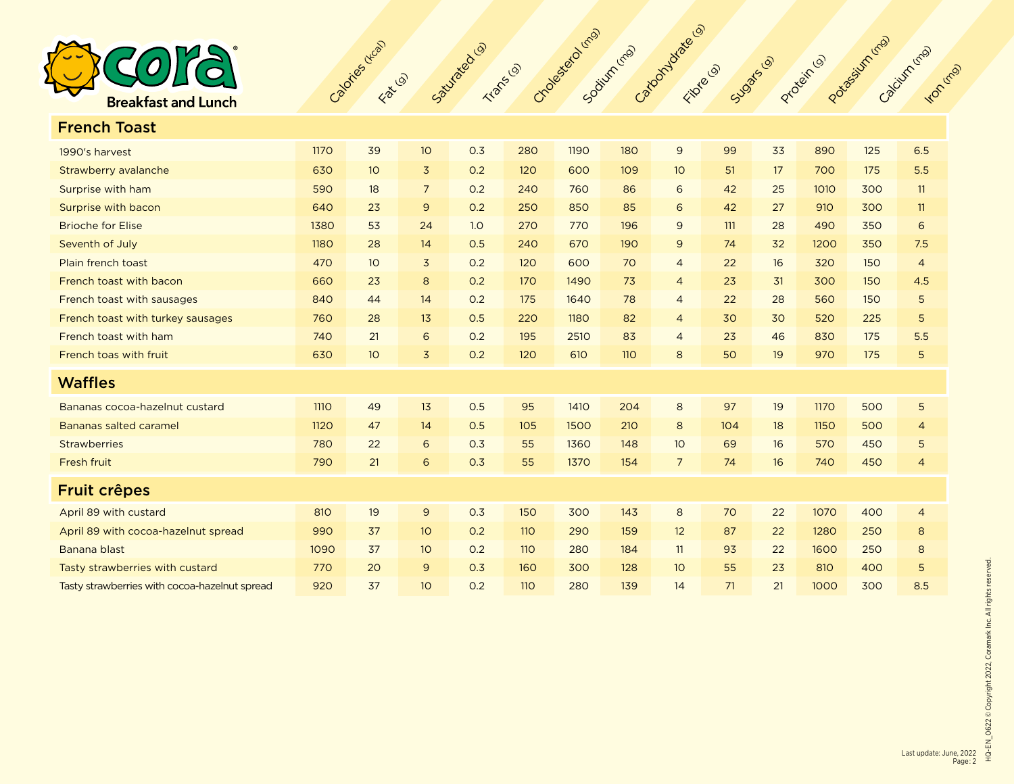

| <b>French Toast</b>                           |             |                 |                 |     |            |      |            |                 |     |    |      |     |                |
|-----------------------------------------------|-------------|-----------------|-----------------|-----|------------|------|------------|-----------------|-----|----|------|-----|----------------|
| 1990's harvest                                | 1170        | 39              | 10              | 0.3 | 280        | 1190 | 180        | 9               | 99  | 33 | 890  | 125 | 6.5            |
| Strawberry avalanche                          | 630         | 10 <sup>°</sup> | $\overline{3}$  | 0.2 | 120        | 600  | 109        | 10 <sup>°</sup> | 51  | 17 | 700  | 175 | 5.5            |
| Surprise with ham                             | 590         | 18              | $7\overline{ }$ | 0.2 | 240        | 760  | 86         | 6               | 42  | 25 | 1010 | 300 | 11             |
| Surprise with bacon                           | 640         | 23              | $\overline{9}$  | 0.2 | 250        | 850  | 85         | 6               | 42  | 27 | 910  | 300 | 11             |
| <b>Brioche for Elise</b>                      | 1380        | 53              | 24              | 1.0 | 270        | 770  | 196        | 9               | 111 | 28 | 490  | 350 | 6              |
| Seventh of July                               | 1180        | 28              | 14              | 0.5 | 240        | 670  | 190        | $\mathsf 9$     | 74  | 32 | 1200 | 350 | 7.5            |
| Plain french toast                            | 470         | 10 <sup>°</sup> | $\overline{3}$  | 0.2 | 120        | 600  | 70         | $\overline{4}$  | 22  | 16 | 320  | 150 | $\overline{4}$ |
| French toast with bacon                       | 660         | 23              | 8               | 0.2 | 170        | 1490 | 73         | $\overline{4}$  | 23  | 31 | 300  | 150 | 4.5            |
| French toast with sausages                    | 840         | 44              | 14              | 0.2 | 175        | 1640 | 78         | $\overline{4}$  | 22  | 28 | 560  | 150 | 5              |
| French toast with turkey sausages             | 760         | 28              | 13              | 0.5 | 220        | 1180 | 82         | $\overline{4}$  | 30  | 30 | 520  | 225 | 5              |
| French toast with ham                         | 740         | 21              | 6               | 0.2 | 195        | 2510 | 83         | $\overline{4}$  | 23  | 46 | 830  | 175 | 5.5            |
| French toas with fruit                        | 630         | 10 <sup>°</sup> | 3               | 0.2 | 120        | 610  | <b>110</b> | 8               | 50  | 19 | 970  | 175 | 5              |
| <b>Waffles</b>                                |             |                 |                 |     |            |      |            |                 |     |    |      |     |                |
| Bananas cocoa-hazelnut custard                | <b>1110</b> | 49              | 13              | 0.5 | 95         | 1410 | 204        | 8               | 97  | 19 | 1170 | 500 | 5              |
| Bananas salted caramel                        | 1120        | 47              | 14              | 0.5 | 105        | 1500 | 210        | 8               | 104 | 18 | 1150 | 500 | $\overline{4}$ |
| <b>Strawberries</b>                           | 780         | 22              | 6               | 0.3 | 55         | 1360 | 148        | 10 <sup>°</sup> | 69  | 16 | 570  | 450 | 5              |
| Fresh fruit                                   | 790         | 21              | 6               | 0.3 | 55         | 1370 | 154        | $\overline{7}$  | 74  | 16 | 740  | 450 | $\overline{4}$ |
| <b>Fruit crêpes</b>                           |             |                 |                 |     |            |      |            |                 |     |    |      |     |                |
| April 89 with custard                         | 810         | 19              | 9               | 0.3 | 150        | 300  | 143        | 8               | 70  | 22 | 1070 | 400 | $\overline{4}$ |
| April 89 with cocoa-hazelnut spread           | 990         | 37              | 10              | 0.2 | <b>110</b> | 290  | 159        | 12              | 87  | 22 | 1280 | 250 | 8              |
| Banana blast                                  | 1090        | 37              | 10 <sup>°</sup> | 0.2 | <b>110</b> | 280  | 184        | 11              | 93  | 22 | 1600 | 250 | 8              |
| Tasty strawberries with custard               | 770         | 20              | 9               | 0.3 | 160        | 300  | 128        | 10              | 55  | 23 | 810  | 400 | 5              |
| Tasty strawberries with cocoa-hazelnut spread | 920         | 37              | 10              | 0.2 | 110        | 280  | 139        | 14              | 71  | 21 | 1000 | 300 | 8.5            |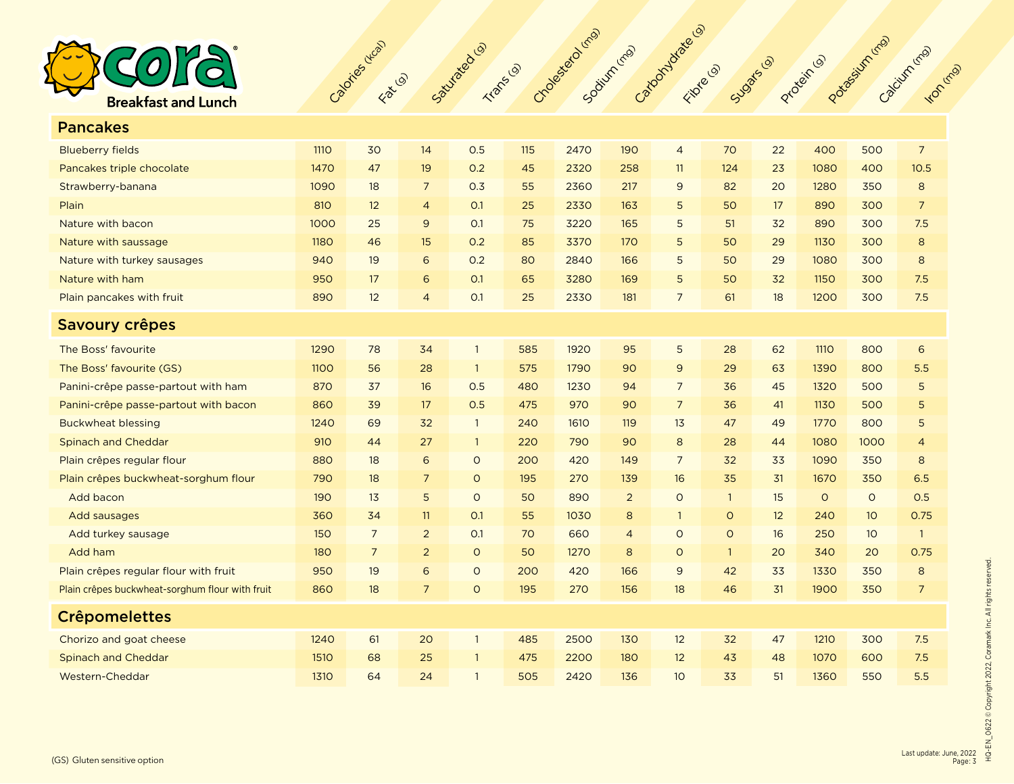

| <b>Pancakes</b>                                 |             |                |                |                |     |      |                |                |              |    |             |                 |                 |
|-------------------------------------------------|-------------|----------------|----------------|----------------|-----|------|----------------|----------------|--------------|----|-------------|-----------------|-----------------|
| <b>Blueberry fields</b>                         | <b>1110</b> | 30             | 14             | 0.5            | 115 | 2470 | 190            | $\overline{4}$ | 70           | 22 | 400         | 500             | $\overline{7}$  |
| Pancakes triple chocolate                       | 1470        | 47             | 19             | 0.2            | 45  | 2320 | 258            | 11             | 124          | 23 | 1080        | 400             | 10.5            |
| Strawberry-banana                               | 1090        | 18             | $\overline{7}$ | 0.3            | 55  | 2360 | 217            | 9              | 82           | 20 | 1280        | 350             | 8               |
| Plain                                           | 810         | 12             | $\overline{4}$ | O.1            | 25  | 2330 | 163            | 5              | 50           | 17 | 890         | 300             | $7\overline{ }$ |
| Nature with bacon                               | 1000        | 25             | 9              | O.1            | 75  | 3220 | 165            | 5              | 51           | 32 | 890         | 300             | 7.5             |
| Nature with saussage                            | <b>1180</b> | 46             | 15             | 0.2            | 85  | 3370 | 170            | 5              | 50           | 29 | 1130        | 300             | 8               |
| Nature with turkey sausages                     | 940         | 19             | 6              | 0.2            | 80  | 2840 | 166            | 5              | 50           | 29 | 1080        | 300             | 8               |
| Nature with ham                                 | 950         | 17             | 6              | O.1            | 65  | 3280 | 169            | 5              | 50           | 32 | 1150        | 300             | 7.5             |
| Plain pancakes with fruit                       | 890         | 12             | $\overline{4}$ | O.1            | 25  | 2330 | 181            | $\overline{7}$ | 61           | 18 | 1200        | 300             | 7.5             |
| <b>Savoury crêpes</b>                           |             |                |                |                |     |      |                |                |              |    |             |                 |                 |
| The Boss' favourite                             | 1290        | 78             | 34             | $\mathbf{1}$   | 585 | 1920 | 95             | 5              | 28           | 62 | <b>1110</b> | 800             | 6               |
| The Boss' favourite (GS)                        | 1100        | 56             | 28             | $\mathbf{1}$   | 575 | 1790 | 90             | 9              | 29           | 63 | 1390        | 800             | 5.5             |
| Panini-crêpe passe-partout with ham             | 870         | 37             | 16             | 0.5            | 480 | 1230 | 94             | $\overline{7}$ | 36           | 45 | 1320        | 500             | 5               |
| Panini-crêpe passe-partout with bacon           | 860         | 39             | 17             | 0.5            | 475 | 970  | 90             | $\overline{7}$ | 36           | 41 | <b>1130</b> | 500             | 5               |
| <b>Buckwheat blessing</b>                       | 1240        | 69             | 32             | $\overline{1}$ | 240 | 1610 | 119            | 13             | 47           | 49 | 1770        | 800             | 5               |
| <b>Spinach and Cheddar</b>                      | 910         | 44             | 27             | $\mathbf{1}$   | 220 | 790  | 90             | 8              | 28           | 44 | 1080        | 1000            | $\overline{4}$  |
| Plain crêpes regular flour                      | 880         | 18             | 6              | $\circ$        | 200 | 420  | 149            | $\overline{7}$ | 32           | 33 | 1090        | 350             | 8               |
| Plain crêpes buckwheat-sorghum flour            | 790         | 18             | $\overline{7}$ | $\circ$        | 195 | 270  | 139            | 16             | 35           | 31 | 1670        | 350             | 6.5             |
| Add bacon                                       | 190         | 13             | 5              | $\circ$        | 50  | 890  | $\overline{2}$ | $\circ$        | $\mathbf{1}$ | 15 | $\circ$     | $\circ$         | 0.5             |
| Add sausages                                    | 360         | 34             | 11             | O.1            | 55  | 1030 | 8              | $\mathbf{1}$   | $\circ$      | 12 | 240         | 10 <sup>°</sup> | 0.75            |
| Add turkey sausage                              | 150         | $\overline{7}$ | $\overline{2}$ | O.1            | 70  | 660  | $\overline{4}$ | $\circ$        | $\circ$      | 16 | 250         | 10 <sup>°</sup> | $\overline{1}$  |
| Add ham                                         | 180         | $\overline{7}$ | $\overline{2}$ | $\circ$        | 50  | 1270 | 8              | $\circ$        | $\mathbf{1}$ | 20 | 340         | 20              | 0.75            |
| Plain crêpes regular flour with fruit           | 950         | 19             | 6              | $\circ$        | 200 | 420  | 166            | $\overline{9}$ | 42           | 33 | 1330        | 350             | 8               |
| Plain crêpes buckwheat-sorghum flour with fruit | 860         | 18             | $\overline{7}$ | $\circ$        | 195 | 270  | 156            | 18             | 46           | 31 | 1900        | 350             | $\overline{7}$  |
| <b>Crêpomelettes</b>                            |             |                |                |                |     |      |                |                |              |    |             |                 |                 |
| Chorizo and goat cheese                         | 1240        | 61             | 20             | $\overline{1}$ | 485 | 2500 | 130            | 12             | 32           | 47 | 1210        | 300             | 7.5             |
| <b>Spinach and Cheddar</b>                      | 1510        | 68             | 25             | $\overline{1}$ | 475 | 2200 | 180            | 12             | 43           | 48 | 1070        | 600             | 7.5             |
| Western-Cheddar                                 | 1310        | 64             | 24             | $\overline{1}$ | 505 | 2420 | 136            | 10             | 33           | 51 | 1360        | 550             | 5.5             |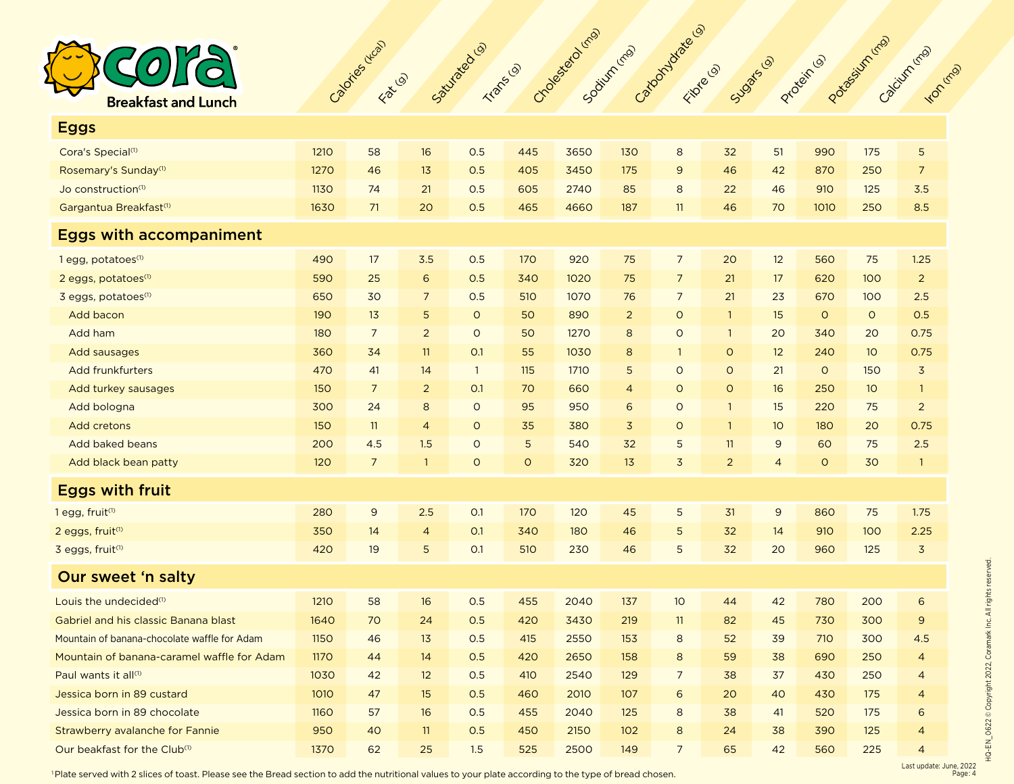

| <b>Eggs</b>                                  |             |                |                 |              |             |      |                |                 |                |                |         |                 |                |
|----------------------------------------------|-------------|----------------|-----------------|--------------|-------------|------|----------------|-----------------|----------------|----------------|---------|-----------------|----------------|
| Cora's Special <sup>(1)</sup>                | 1210        | 58             | 16              | 0.5          | 445         | 3650 | 130            | 8               | 32             | 51             | 990     | 175             | 5              |
| Rosemary's Sunday <sup>(1)</sup>             | 1270        | 46             | 13              | 0.5          | 405         | 3450 | 175            | $\overline{9}$  | 46             | 42             | 870     | 250             | $\overline{7}$ |
| Jo construction <sup>(1)</sup>               | 1130        | 74             | 21              | 0.5          | 605         | 2740 | 85             | 8               | 22             | 46             | 910     | 125             | 3.5            |
| Gargantua Breakfast <sup>(1)</sup>           | 1630        | 71             | 20              | 0.5          | 465         | 4660 | 187            | 11              | 46             | 70             | 1010    | 250             | 8.5            |
| <b>Eggs with accompaniment</b>               |             |                |                 |              |             |      |                |                 |                |                |         |                 |                |
| 1 egg, potatoes <sup>(1)</sup>               | 490         | 17             | 3.5             | 0.5          | 170         | 920  | 75             | $\overline{7}$  | 20             | 12             | 560     | 75              | 1.25           |
| 2 eggs, potatoes <sup>(1)</sup>              | 590         | 25             | $6\phantom{1}6$ | 0.5          | 340         | 1020 | 75             | $\overline{7}$  | 21             | 17             | 620     | 100             | $\overline{2}$ |
| 3 eggs, potatoes <sup>(1)</sup>              | 650         | 30             | $\overline{7}$  | 0.5          | 510         | 1070 | 76             | $7\overline{ }$ | 21             | 23             | 670     | 100             | 2.5            |
| Add bacon                                    | 190         | 13             | 5               | $\circ$      | 50          | 890  | $\overline{2}$ | $\circ$         | $\mathbf{1}$   | 15             | $\circ$ | $\circ$         | 0.5            |
| Add ham                                      | 180         | $\overline{7}$ | $\overline{2}$  | $\circ$      | 50          | 1270 | 8              | $\circ$         | $\mathbf{1}$   | 20             | 340     | 20              | 0.75           |
| Add sausages                                 | 360         | 34             | 11              | O.1          | 55          | 1030 | 8              | $\mathbf{1}$    | $\circ$        | 12             | 240     | 10 <sup>°</sup> | 0.75           |
| Add frunkfurters                             | 470         | 41             | 14              | $\mathbf{1}$ | 115         | 1710 | 5              | $\circ$         | $\circ$        | 21             | $\circ$ | 150             | $\overline{3}$ |
| Add turkey sausages                          | 150         | $\overline{7}$ | $\overline{2}$  | O.1          | 70          | 660  | $\overline{4}$ | $\circ$         | $\circ$        | 16             | 250     | 10 <sup>°</sup> | $\overline{1}$ |
| Add bologna                                  | 300         | 24             | 8               | $\circ$      | 95          | 950  | 6              | $\circ$         | $\mathbf{1}$   | 15             | 220     | 75              | $\overline{2}$ |
| <b>Add cretons</b>                           | 150         | 11             | $\overline{4}$  | $\circ$      | 35          | 380  | $\overline{3}$ | $\circ$         | $\mathbf{1}$   | 10             | 180     | 20              | 0.75           |
| Add baked beans                              | 200         | 4.5            | 1.5             | $\circ$      | $\mathsf S$ | 540  | 32             | 5               | 11             | $\overline{9}$ | 60      | 75              | 2.5            |
| Add black bean patty                         | 120         | $\overline{7}$ | $\overline{1}$  | $\circ$      | $\mathsf O$ | 320  | 13             | $\overline{3}$  | $\overline{2}$ | $\overline{4}$ | $\circ$ | 30              | $\mathbf{1}$   |
| <b>Eggs with fruit</b>                       |             |                |                 |              |             |      |                |                 |                |                |         |                 |                |
| 1 egg, fruit <sup>(1)</sup>                  | 280         | $\mathsf 9$    | 2.5             | O.1          | 170         | 120  | 45             | 5               | 31             | $\mathsf 9$    | 860     | 75              | 1.75           |
| 2 eggs, fruit <sup>(1)</sup>                 | 350         | 14             | $\overline{4}$  | O.1          | 340         | 180  | 46             | 5               | 32             | 14             | 910     | 100             | 2.25           |
| 3 eggs, fruit <sup>(1)</sup>                 | 420         | 19             | 5               | O.1          | 510         | 230  | 46             | 5               | 32             | 20             | 960     | 125             | $\overline{3}$ |
| Our sweet 'n salty                           |             |                |                 |              |             |      |                |                 |                |                |         |                 |                |
| Louis the undecided <sup>(1)</sup>           | 1210        | 58             | 16              | 0.5          | 455         | 2040 | 137            | 10              | 44             | 42             | 780     | 200             | 6              |
| Gabriel and his classic Banana blast         | 1640        | 70             | 24              | 0.5          | 420         | 3430 | 219            | 11              | 82             | 45             | 730     | 300             | $\mathsf 9$    |
| Mountain of banana-chocolate waffle for Adam | <b>1150</b> | 46             | 13              | 0.5          | 415         | 2550 | 153            | 8               | 52             | 39             | 710     | 300             | 4.5            |
| Mountain of banana-caramel waffle for Adam   | 1170        | 44             | 14              | 0.5          | 420         | 2650 | 158            | 8               | 59             | 38             | 690     | 250             | $\overline{4}$ |
| Paul wants it all <sup>(1)</sup>             | 1030        | 42             | 12              | 0.5          | 410         | 2540 | 129            | $\overline{7}$  | 38             | 37             | 430     | 250             | $\overline{4}$ |
| Jessica born in 89 custard                   | 1010        | 47             | 15              | 0.5          | 460         | 2010 | 107            | 6               | 20             | 40             | 430     | 175             | $\overline{4}$ |
| Jessica born in 89 chocolate                 | 1160        | 57             | 16              | 0.5          | 455         | 2040 | 125            | 8               | 38             | 41             | 520     | 175             | 6              |
| Strawberry avalanche for Fannie              | 950         | 40             | 11              | 0.5          | 450         | 2150 | 102            | 8               | 24             | 38             | 390     | 125             | $\overline{4}$ |
| Our beakfast for the Club <sup>(1)</sup>     | 1370        | 62             | 25              | 1.5          | 525         | 2500 | 149            | $\overline{7}$  | 65             | 42             | 560     | 225             | $\overline{4}$ |

1 Plate served with 2 slices of toast. Please see the Bread section to add the nutritional values to your plate according to the type of bread chosen.

Last update: June, 2022 Page : 4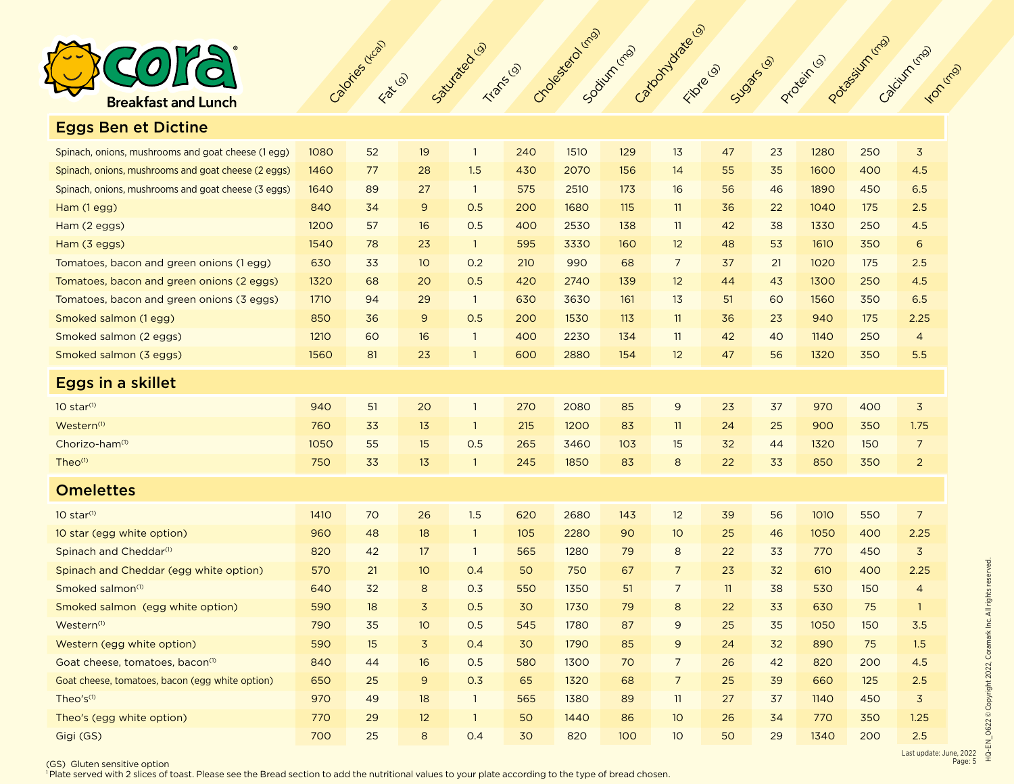

Eggs Ben et Dictine

| Spinach, onions, mushrooms and goat cheese (1 egg)  | 1080 | 52 | 19             | $\overline{1}$ | 240 | 1510 | 129 | 13             | 47 | 23 | 1280 | 250 | $\mathsf 3$    |
|-----------------------------------------------------|------|----|----------------|----------------|-----|------|-----|----------------|----|----|------|-----|----------------|
| Spinach, onions, mushrooms and goat cheese (2 eggs) | 1460 | 77 | 28             | 1.5            | 430 | 2070 | 156 | 14             | 55 | 35 | 1600 | 400 | 4.5            |
| Spinach, onions, mushrooms and goat cheese (3 eggs) | 1640 | 89 | 27             | $\overline{1}$ | 575 | 2510 | 173 | 16             | 56 | 46 | 1890 | 450 | 6.5            |
| Ham (1 egg)                                         | 840  | 34 | $\overline{9}$ | 0.5            | 200 | 1680 | 115 | 11             | 36 | 22 | 1040 | 175 | 2.5            |
| Ham (2 eggs)                                        | 1200 | 57 | 16             | 0.5            | 400 | 2530 | 138 | 11             | 42 | 38 | 1330 | 250 | 4.5            |
| Ham (3 eggs)                                        | 1540 | 78 | 23             | $\overline{1}$ | 595 | 3330 | 160 | 12             | 48 | 53 | 1610 | 350 | 6              |
| Tomatoes, bacon and green onions (1 egg)            | 630  | 33 | 10             | 0.2            | 210 | 990  | 68  | $\overline{7}$ | 37 | 21 | 1020 | 175 | 2.5            |
| Tomatoes, bacon and green onions (2 eggs)           | 1320 | 68 | 20             | 0.5            | 420 | 2740 | 139 | 12             | 44 | 43 | 1300 | 250 | 4.5            |
| Tomatoes, bacon and green onions (3 eggs)           | 1710 | 94 | 29             | $\overline{1}$ | 630 | 3630 | 161 | 13             | 51 | 60 | 1560 | 350 | 6.5            |
| Smoked salmon (1 egg)                               | 850  | 36 | $\overline{9}$ | 0.5            | 200 | 1530 | 113 | 11             | 36 | 23 | 940  | 175 | 2.25           |
| Smoked salmon (2 eggs)                              | 1210 | 60 | 16             | $\overline{1}$ | 400 | 2230 | 134 | 11             | 42 | 40 | 1140 | 250 | $\overline{4}$ |
| Smoked salmon (3 eggs)                              | 1560 | 81 | 23             | $\overline{1}$ | 600 | 2880 | 154 | 12             | 47 | 56 | 1320 | 350 | 5.5            |
| Eggs in a skillet                                   |      |    |                |                |     |      |     |                |    |    |      |     |                |
| $10$ star $(1)$                                     | 940  | 51 | 20             | $\overline{1}$ | 270 | 2080 | 85  | $\overline{9}$ | 23 | 37 | 970  | 400 | $\overline{3}$ |
| Western <sup>(1)</sup>                              | 760  | 33 | 13             | $\overline{1}$ | 215 | 1200 | 83  | 11             | 24 | 25 | 900  | 350 | 1.75           |
| Chorizo-ham <sup>(1)</sup>                          | 1050 | 55 | 15             | 0.5            | 265 | 3460 | 103 | 15             | 32 | 44 | 1320 | 150 | $\overline{7}$ |
| Theo <sup>(1)</sup>                                 | 750  | 33 | 13             | $\overline{1}$ | 245 | 1850 | 83  | $\bf 8$        | 22 | 33 | 850  | 350 | $\overline{2}$ |
| <b>Omelettes</b>                                    |      |    |                |                |     |      |     |                |    |    |      |     |                |
| $10$ star $(1)$                                     | 1410 | 70 | 26             | 1.5            | 620 | 2680 | 143 | 12             | 39 | 56 | 1010 | 550 | $\overline{7}$ |
| 10 star (egg white option)                          | 960  | 48 | 18             | $\overline{1}$ | 105 | 2280 | 90  | 10             | 25 | 46 | 1050 | 400 | 2.25           |
| Spinach and Cheddar <sup>(1)</sup>                  | 820  | 42 | 17             | $\overline{1}$ | 565 | 1280 | 79  | 8              | 22 | 33 | 770  | 450 | $\overline{3}$ |
| Spinach and Cheddar (egg white option)              | 570  | 21 | 10             | 0.4            | 50  | 750  | 67  | $\overline{7}$ | 23 | 32 | 610  | 400 | 2.25           |
| Smoked salmon <sup>(1)</sup>                        | 640  | 32 | 8              | 0.3            | 550 | 1350 | 51  | $\overline{7}$ | 11 | 38 | 530  | 150 | $\overline{4}$ |
| Smoked salmon (egg white option)                    | 590  | 18 | $\overline{3}$ | 0.5            | 30  | 1730 | 79  | $\bf 8$        | 22 | 33 | 630  | 75  | $\mathbf{1}$   |
| Western <sup>(1)</sup>                              | 790  | 35 | 10             | 0.5            | 545 | 1780 | 87  | $\mathsf 9$    | 25 | 35 | 1050 | 150 | 3.5            |
| Western (egg white option)                          | 590  | 15 | $\overline{3}$ | 0.4            | 30  | 1790 | 85  | 9              | 24 | 32 | 890  | 75  | 1.5            |
| Goat cheese, tomatoes, bacon <sup>(1)</sup>         | 840  | 44 | 16             | 0.5            | 580 | 1300 | 70  | $\overline{7}$ | 26 | 42 | 820  | 200 | 4.5            |
| Goat cheese, tomatoes, bacon (egg white option)     | 650  | 25 | $\overline{9}$ | 0.3            | 65  | 1320 | 68  | $\overline{7}$ | 25 | 39 | 660  | 125 | 2.5            |
| Theo's <sup>(1)</sup>                               | 970  | 49 | 18             | $\overline{1}$ | 565 | 1380 | 89  | 11             | 27 | 37 | 1140 | 450 | $\mathsf 3$    |
| Theo's (egg white option)                           | 770  | 29 | 12             | $\overline{1}$ | 50  | 1440 | 86  | 10             | 26 | 34 | 770  | 350 | 1.25           |
| Gigi (GS)                                           | 700  | 25 | 8              | 0.4            | 30  | 820  | 100 | 10             | 50 | 29 | 1340 | 200 | 2.5            |

Calories (1996) California Calories Collection California (mg) California California California California California

(GS) Gluten sensitive option

<sup>1</sup> Plate served with 2 slices of toast. Please see the Bread section to add the nutritional values to your plate according to the type of bread chosen.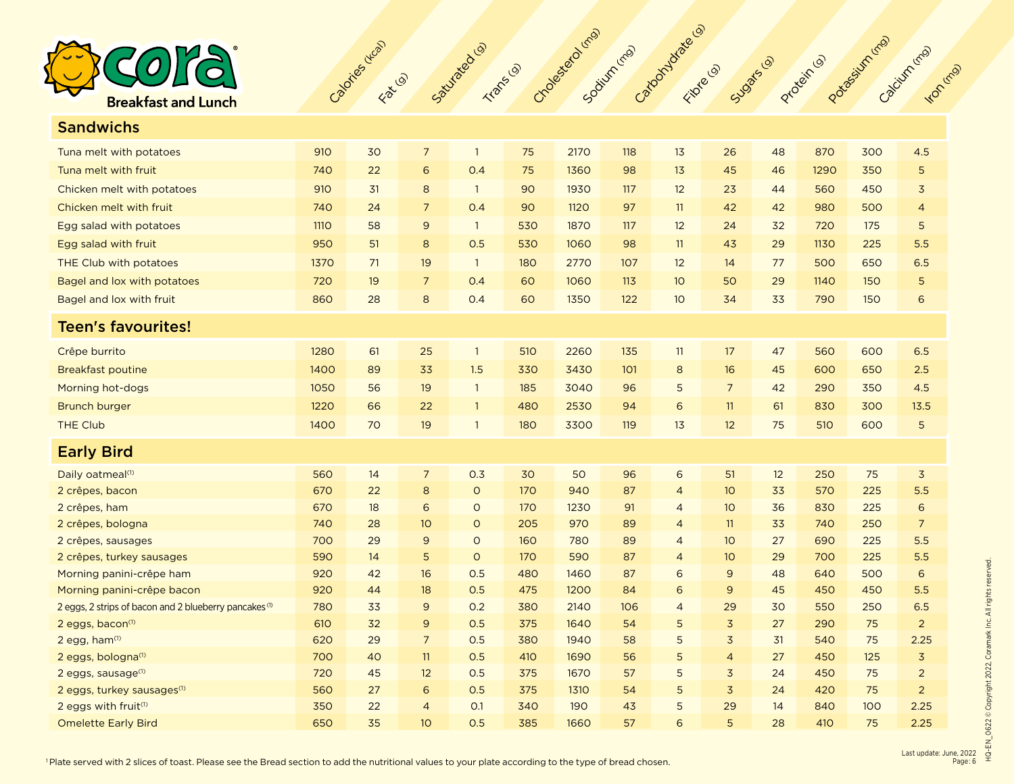

Sandwichs

| sangwichs                                                         |      |    |                |                |     |      |     |                 |                |    |      |     |                |
|-------------------------------------------------------------------|------|----|----------------|----------------|-----|------|-----|-----------------|----------------|----|------|-----|----------------|
| Tuna melt with potatoes                                           | 910  | 30 | $\overline{7}$ | $\overline{1}$ | 75  | 2170 | 118 | 13              | 26             | 48 | 870  | 300 | 4.5            |
| Tuna melt with fruit                                              | 740  | 22 | 6              | 0.4            | 75  | 1360 | 98  | 13              | 45             | 46 | 1290 | 350 | 5              |
| Chicken melt with potatoes                                        | 910  | 31 | 8              | $\overline{1}$ | 90  | 1930 | 117 | 12              | 23             | 44 | 560  | 450 | 3              |
| Chicken melt with fruit                                           | 740  | 24 | $\overline{7}$ | 0.4            | 90  | 1120 | 97  | 11              | 42             | 42 | 980  | 500 | 4              |
| Egg salad with potatoes                                           | 1110 | 58 | 9              | $\overline{1}$ | 530 | 1870 | 117 | 12              | 24             | 32 | 720  | 175 | 5              |
| Egg salad with fruit                                              | 950  | 51 | 8              | 0.5            | 530 | 1060 | 98  | 11              | 43             | 29 | 1130 | 225 | 5.5            |
| THE Club with potatoes                                            | 1370 | 71 | 19             | $\overline{1}$ | 180 | 2770 | 107 | 12              | 14             | 77 | 500  | 650 | 6.5            |
| Bagel and lox with potatoes                                       | 720  | 19 | $\overline{7}$ | 0.4            | 60  | 1060 | 113 | 10 <sup>°</sup> | 50             | 29 | 1140 | 150 | 5              |
| Bagel and lox with fruit                                          | 860  | 28 | 8              | 0.4            | 60  | 1350 | 122 | 10 <sup>°</sup> | 34             | 33 | 790  | 150 | 6              |
| <b>Teen's favourites!</b>                                         |      |    |                |                |     |      |     |                 |                |    |      |     |                |
| Crêpe burrito                                                     | 1280 | 61 | 25             | $\overline{1}$ | 510 | 2260 | 135 | 11              | 17             | 47 | 560  | 600 | 6.5            |
| <b>Breakfast poutine</b>                                          | 1400 | 89 | 33             | 1.5            | 330 | 3430 | 101 | $\,$ 8          | 16             | 45 | 600  | 650 | 2.5            |
| Morning hot-dogs                                                  | 1050 | 56 | 19             | $\overline{1}$ | 185 | 3040 | 96  | 5               | $\overline{7}$ | 42 | 290  | 350 | 4.5            |
| <b>Brunch burger</b>                                              | 1220 | 66 | 22             | $\overline{1}$ | 480 | 2530 | 94  | 6               | 11             | 61 | 830  | 300 | 13.5           |
| <b>THE Club</b>                                                   | 1400 | 70 | 19             | $\overline{1}$ | 180 | 3300 | 119 | 13              | 12             | 75 | 510  | 600 | 5              |
| <b>Early Bird</b>                                                 |      |    |                |                |     |      |     |                 |                |    |      |     |                |
| Daily oatmeal <sup>(1)</sup>                                      | 560  | 14 | $\overline{7}$ | 0.3            | 30  | 50   | 96  | $\sqrt{6}$      | 51             | 12 | 250  | 75  | $\overline{3}$ |
| 2 crêpes, bacon                                                   | 670  | 22 | 8              | $\circ$        | 170 | 940  | 87  | $\overline{4}$  | 10             | 33 | 570  | 225 | 5.5            |
| 2 crêpes, ham                                                     | 670  | 18 | 6              | $\circ$        | 170 | 1230 | 91  | $\overline{4}$  | 10             | 36 | 830  | 225 | 6              |
| 2 crêpes, bologna                                                 | 740  | 28 | 10             | $\circ$        | 205 | 970  | 89  | $\overline{4}$  | 11             | 33 | 740  | 250 | $\overline{7}$ |
| 2 crêpes, sausages                                                | 700  | 29 | 9              | $\circ$        | 160 | 780  | 89  | $\overline{4}$  | 10             | 27 | 690  | 225 | 5.5            |
| 2 crêpes, turkey sausages                                         | 590  | 14 | 5              | $\circ$        | 170 | 590  | 87  | $\overline{4}$  | 10             | 29 | 700  | 225 | 5.5            |
| Morning panini-crêpe ham                                          | 920  | 42 | 16             | 0.5            | 480 | 1460 | 87  | 6               | 9              | 48 | 640  | 500 | 6              |
| Morning panini-crêpe bacon                                        | 920  | 44 | 18             | 0.5            | 475 | 1200 | 84  | 6               | $\overline{9}$ | 45 | 450  | 450 | 5.5            |
| 2 eggs, 2 strips of bacon and 2 blueberry pancakes <sup>(1)</sup> | 780  | 33 | 9              | 0.2            | 380 | 2140 | 106 | $\overline{4}$  | 29             | 30 | 550  | 250 | 6.5            |
| 2 eggs, bacon <sup>(1)</sup>                                      | 610  | 32 | 9              | 0.5            | 375 | 1640 | 54  | 5               | $\overline{3}$ | 27 | 290  | 75  | $\overline{2}$ |
| 2 egg, ham <sup>(1)</sup>                                         | 620  | 29 | $\overline{7}$ | 0.5            | 380 | 1940 | 58  | 5               | $\overline{3}$ | 31 | 540  | 75  | 2.25           |
| 2 eggs, bologna(1)                                                | 700  | 40 | 11             | 0.5            | 410 | 1690 | 56  | 5               | $\overline{4}$ | 27 | 450  | 125 | $\mathsf 3$    |
| 2 eggs, sausage <sup>(1)</sup>                                    | 720  | 45 | 12             | 0.5            | 375 | 1670 | 57  | 5               | 3              | 24 | 450  | 75  | $\overline{c}$ |
| 2 eggs, turkey sausages <sup>(1)</sup>                            | 560  | 27 | 6              | 0.5            | 375 | 1310 | 54  | 5               | $\overline{3}$ | 24 | 420  | 75  | $\overline{2}$ |
| 2 eggs with fruit <sup>(1)</sup>                                  | 350  | 22 | $\overline{4}$ | O.1            | 340 | 190  | 43  | 5               | 29             | 14 | 840  | 100 | 2.25           |
| <b>Omelette Early Bird</b>                                        | 650  | 35 | 10             | 0.5            | 385 | 1660 | 57  | 6               | 5              | 28 | 410  | 75  | 2.25           |

Calories (1996) California Calories Collection California (mg) California California California California California

<sup>1</sup> Plate served with 2 slices of toast. Please see the Bread section to add the nutritional values to your plate according to the type of bread chosen.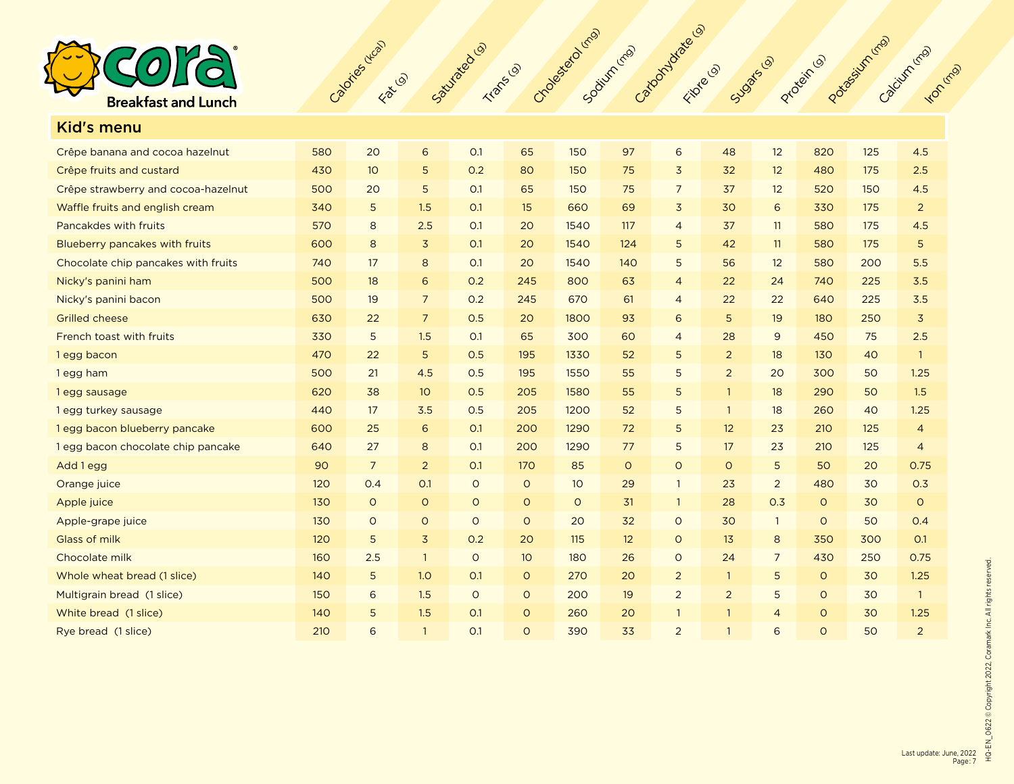

| <b>Kid's menu</b>                   |     |                 |                 |         |                 |         |         |                 |                |                |          |     |                |
|-------------------------------------|-----|-----------------|-----------------|---------|-----------------|---------|---------|-----------------|----------------|----------------|----------|-----|----------------|
| Crêpe banana and cocoa hazelnut     | 580 | 20              | $\sqrt{6}$      | O.1     | 65              | 150     | 97      | 6               | 48             | 12             | 820      | 125 | 4.5            |
| Crêpe fruits and custard            | 430 | 10 <sup>°</sup> | 5               | 0.2     | 80              | 150     | 75      | $\overline{3}$  | 32             | 12             | 480      | 175 | 2.5            |
| Crêpe strawberry and cocoa-hazelnut | 500 | 20              | 5               | O.1     | 65              | 150     | 75      | $7\overline{ }$ | 37             | 12             | 520      | 150 | 4.5            |
| Waffle fruits and english cream     | 340 | 5               | 1.5             | O.1     | 15              | 660     | 69      | $\overline{3}$  | 30             | 6              | 330      | 175 | $\overline{2}$ |
| Pancakdes with fruits               | 570 | 8               | 2.5             | O.1     | 20              | 1540    | 117     | $\overline{4}$  | 37             | 11             | 580      | 175 | 4.5            |
| Blueberry pancakes with fruits      | 600 | 8               | $\overline{3}$  | O.1     | 20              | 1540    | 124     | 5               | 42             | 11             | 580      | 175 | 5              |
| Chocolate chip pancakes with fruits | 740 | 17              | 8               | O.1     | 20              | 1540    | 140     | 5               | 56             | 12             | 580      | 200 | 5.5            |
| Nicky's panini ham                  | 500 | 18              | 6               | 0.2     | 245             | 800     | 63      | $\overline{4}$  | 22             | 24             | 740      | 225 | 3.5            |
| Nicky's panini bacon                | 500 | 19              | $\overline{7}$  | 0.2     | 245             | 670     | 61      | $\overline{4}$  | 22             | 22             | 640      | 225 | 3.5            |
| <b>Grilled cheese</b>               | 630 | 22              | $\overline{7}$  | 0.5     | 20              | 1800    | 93      | 6               | 5              | 19             | 180      | 250 | $\overline{3}$ |
| French toast with fruits            | 330 | 5               | 1.5             | O.1     | 65              | 300     | 60      | $\overline{4}$  | 28             | 9              | 450      | 75  | 2.5            |
| 1 egg bacon                         | 470 | 22              | 5               | 0.5     | 195             | 1330    | 52      | 5               | $\overline{2}$ | 18             | 130      | 40  | $\mathbf{1}$   |
| 1 egg ham                           | 500 | 21              | 4.5             | 0.5     | 195             | 1550    | 55      | 5               | $\overline{2}$ | 20             | 300      | 50  | 1.25           |
| 1egg sausage                        | 620 | 38              | 10 <sup>°</sup> | 0.5     | 205             | 1580    | 55      | 5               | $\mathbf{1}$   | 18             | 290      | 50  | 1.5            |
| 1 egg turkey sausage                | 440 | 17              | 3.5             | 0.5     | 205             | 1200    | 52      | 5               | $\mathbf{1}$   | 18             | 260      | 40  | 1.25           |
| 1 egg bacon blueberry pancake       | 600 | 25              | 6               | O.1     | 200             | 1290    | 72      | 5               | 12             | 23             | 210      | 125 | $\overline{4}$ |
| 1 egg bacon chocolate chip pancake  | 640 | 27              | 8               | O.1     | 200             | 1290    | 77      | 5               | 17             | 23             | 210      | 125 | $\overline{4}$ |
| Add 1 egg                           | 90  | $\overline{7}$  | $\overline{2}$  | O.1     | 170             | 85      | $\circ$ | $\circ$         | $\circ$        | 5              | 50       | 20  | 0.75           |
| Orange juice                        | 120 | 0.4             | O.1             | $\circ$ | $\circ$         | 10      | 29      | $\mathbf{1}$    | 23             | $\overline{2}$ | 480      | 30  | 0.3            |
| Apple juice                         | 130 | $\circ$         | $\circ$         | $\circ$ | $\circ$         | $\circ$ | 31      | $\mathbf{1}$    | 28             | 0.3            | $\circ$  | 30  | $\circ$        |
| Apple-grape juice                   | 130 | $\circ$         | $\circ$         | $\circ$ | $\circ$         | 20      | 32      | $\circ$         | 30             | $\overline{1}$ | $\circ$  | 50  | 0.4            |
| Glass of milk                       | 120 | 5               | $\overline{3}$  | 0.2     | 20              | 115     | 12      | $\circ$         | 13             | 8              | 350      | 300 | O.1            |
| Chocolate milk                      | 160 | 2.5             | $\overline{1}$  | $\circ$ | 10 <sup>°</sup> | 180     | 26      | $\circ$         | 24             | $\overline{7}$ | 430      | 250 | 0.75           |
| Whole wheat bread (1 slice)         | 140 | 5               | 1.0             | O.1     | $\circ$         | 270     | 20      | $\overline{2}$  | $\mathbf{1}$   | 5              | $\circ$  | 30  | 1.25           |
| Multigrain bread (1 slice)          | 150 | 6               | 1.5             | $\circ$ | $\circ$         | 200     | 19      | 2               | 2              | 5              | $\circ$  | 30  | $\overline{1}$ |
| White bread (1 slice)               | 140 | 5               | 1.5             | O.1     | $\circ$         | 260     | 20      | $\mathbf{1}$    | $\mathbf{1}$   | $\overline{4}$ | $\circ$  | 30  | 1.25           |
| Rye bread (1 slice)                 | 210 | 6               | $\mathbf{1}$    | O.1     | $\circ$         | 390     | 33      | 2               | $\mathbf{1}$   | 6              | $\Omega$ | 50  | $\overline{2}$ |